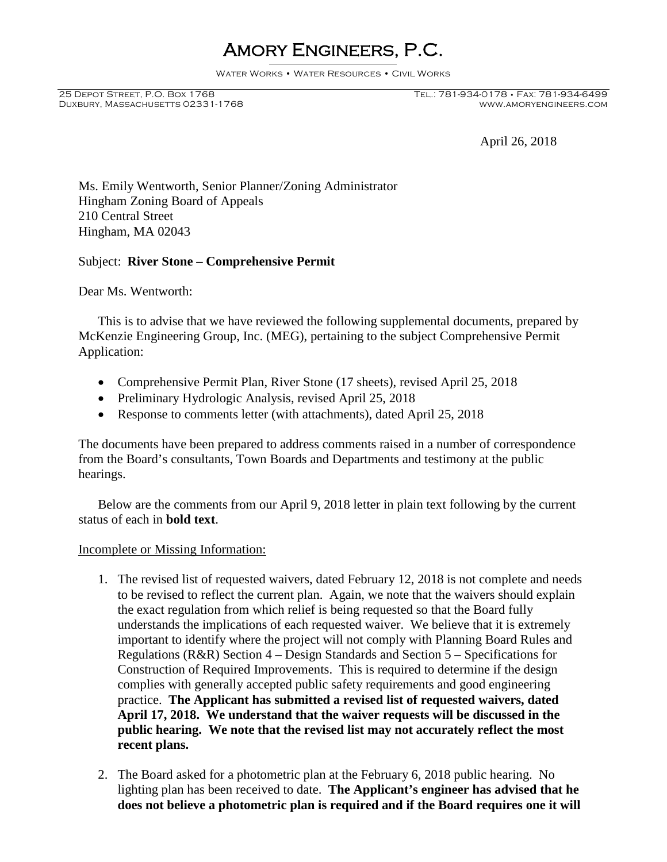# Amory Engineers, P.C.

Water Works • Water Resources • Civil Works

DUXBURY, MASSACHUSETTS 02331-1768

April 26, 2018

Ms. Emily Wentworth, Senior Planner/Zoning Administrator Hingham Zoning Board of Appeals 210 Central Street Hingham, MA 02043

#### Subject: **River Stone – Comprehensive Permit**

Dear Ms. Wentworth:

This is to advise that we have reviewed the following supplemental documents, prepared by McKenzie Engineering Group, Inc. (MEG), pertaining to the subject Comprehensive Permit Application:

- Comprehensive Permit Plan, River Stone (17 sheets), revised April 25, 2018
- Preliminary Hydrologic Analysis, revised April 25, 2018
- Response to comments letter (with attachments), dated April 25, 2018

The documents have been prepared to address comments raised in a number of correspondence from the Board's consultants, Town Boards and Departments and testimony at the public hearings.

Below are the comments from our April 9, 2018 letter in plain text following by the current status of each in **bold text**.

#### Incomplete or Missing Information:

- 1. The revised list of requested waivers, dated February 12, 2018 is not complete and needs to be revised to reflect the current plan. Again, we note that the waivers should explain the exact regulation from which relief is being requested so that the Board fully understands the implications of each requested waiver. We believe that it is extremely important to identify where the project will not comply with Planning Board Rules and Regulations (R&R) Section 4 – Design Standards and Section 5 – Specifications for Construction of Required Improvements. This is required to determine if the design complies with generally accepted public safety requirements and good engineering practice. **The Applicant has submitted a revised list of requested waivers, dated April 17, 2018. We understand that the waiver requests will be discussed in the public hearing. We note that the revised list may not accurately reflect the most recent plans.**
- 2. The Board asked for a photometric plan at the February 6, 2018 public hearing. No lighting plan has been received to date. **The Applicant's engineer has advised that he does not believe a photometric plan is required and if the Board requires one it will**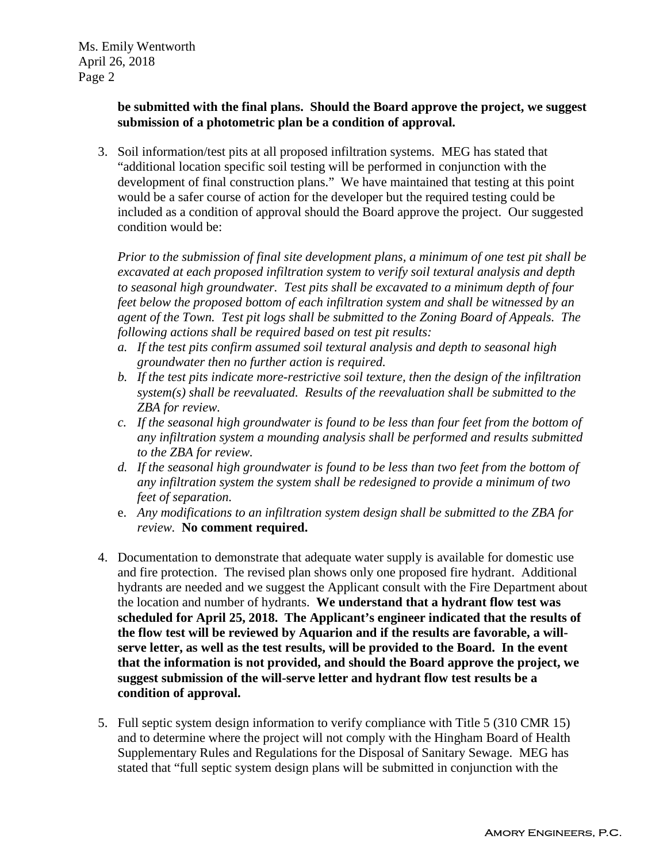# **be submitted with the final plans. Should the Board approve the project, we suggest submission of a photometric plan be a condition of approval.**

3. Soil information/test pits at all proposed infiltration systems. MEG has stated that "additional location specific soil testing will be performed in conjunction with the development of final construction plans." We have maintained that testing at this point would be a safer course of action for the developer but the required testing could be included as a condition of approval should the Board approve the project. Our suggested condition would be:

*Prior to the submission of final site development plans, a minimum of one test pit shall be excavated at each proposed infiltration system to verify soil textural analysis and depth to seasonal high groundwater. Test pits shall be excavated to a minimum depth of four feet below the proposed bottom of each infiltration system and shall be witnessed by an agent of the Town. Test pit logs shall be submitted to the Zoning Board of Appeals. The following actions shall be required based on test pit results:*

- *a. If the test pits confirm assumed soil textural analysis and depth to seasonal high groundwater then no further action is required.*
- *b. If the test pits indicate more-restrictive soil texture, then the design of the infiltration system(s) shall be reevaluated. Results of the reevaluation shall be submitted to the ZBA for review.*
- *c. If the seasonal high groundwater is found to be less than four feet from the bottom of any infiltration system a mounding analysis shall be performed and results submitted to the ZBA for review.*
- *d. If the seasonal high groundwater is found to be less than two feet from the bottom of any infiltration system the system shall be redesigned to provide a minimum of two feet of separation.*
- e. *Any modifications to an infiltration system design shall be submitted to the ZBA for review.* **No comment required.**
- 4. Documentation to demonstrate that adequate water supply is available for domestic use and fire protection. The revised plan shows only one proposed fire hydrant. Additional hydrants are needed and we suggest the Applicant consult with the Fire Department about the location and number of hydrants. **We understand that a hydrant flow test was scheduled for April 25, 2018. The Applicant's engineer indicated that the results of the flow test will be reviewed by Aquarion and if the results are favorable, a willserve letter, as well as the test results, will be provided to the Board. In the event that the information is not provided, and should the Board approve the project, we suggest submission of the will-serve letter and hydrant flow test results be a condition of approval.**
- 5. Full septic system design information to verify compliance with Title 5 (310 CMR 15) and to determine where the project will not comply with the Hingham Board of Health Supplementary Rules and Regulations for the Disposal of Sanitary Sewage. MEG has stated that "full septic system design plans will be submitted in conjunction with the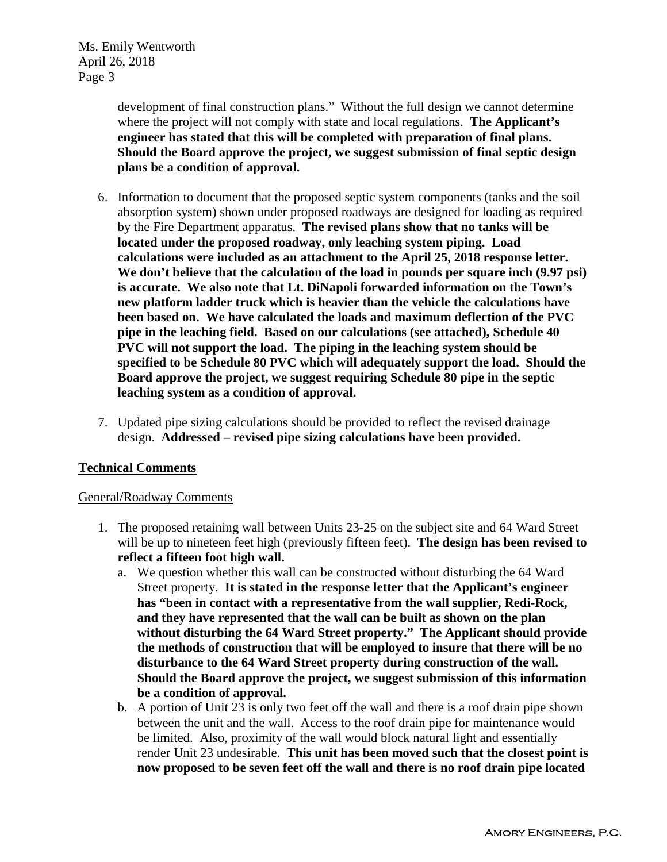development of final construction plans." Without the full design we cannot determine where the project will not comply with state and local regulations. **The Applicant's engineer has stated that this will be completed with preparation of final plans. Should the Board approve the project, we suggest submission of final septic design plans be a condition of approval.**

- 6. Information to document that the proposed septic system components (tanks and the soil absorption system) shown under proposed roadways are designed for loading as required by the Fire Department apparatus. **The revised plans show that no tanks will be located under the proposed roadway, only leaching system piping. Load calculations were included as an attachment to the April 25, 2018 response letter. We don't believe that the calculation of the load in pounds per square inch (9.97 psi) is accurate. We also note that Lt. DiNapoli forwarded information on the Town's new platform ladder truck which is heavier than the vehicle the calculations have been based on. We have calculated the loads and maximum deflection of the PVC pipe in the leaching field. Based on our calculations (see attached), Schedule 40 PVC will not support the load. The piping in the leaching system should be specified to be Schedule 80 PVC which will adequately support the load. Should the Board approve the project, we suggest requiring Schedule 80 pipe in the septic leaching system as a condition of approval.**
- 7. Updated pipe sizing calculations should be provided to reflect the revised drainage design. **Addressed – revised pipe sizing calculations have been provided.**

#### **Technical Comments**

#### General/Roadway Comments

- 1. The proposed retaining wall between Units 23-25 on the subject site and 64 Ward Street will be up to nineteen feet high (previously fifteen feet). **The design has been revised to reflect a fifteen foot high wall.**
	- a. We question whether this wall can be constructed without disturbing the 64 Ward Street property. **It is stated in the response letter that the Applicant's engineer has "been in contact with a representative from the wall supplier, Redi-Rock, and they have represented that the wall can be built as shown on the plan without disturbing the 64 Ward Street property." The Applicant should provide the methods of construction that will be employed to insure that there will be no disturbance to the 64 Ward Street property during construction of the wall. Should the Board approve the project, we suggest submission of this information be a condition of approval.**
	- b. A portion of Unit 23 is only two feet off the wall and there is a roof drain pipe shown between the unit and the wall. Access to the roof drain pipe for maintenance would be limited. Also, proximity of the wall would block natural light and essentially render Unit 23 undesirable. **This unit has been moved such that the closest point is now proposed to be seven feet off the wall and there is no roof drain pipe located**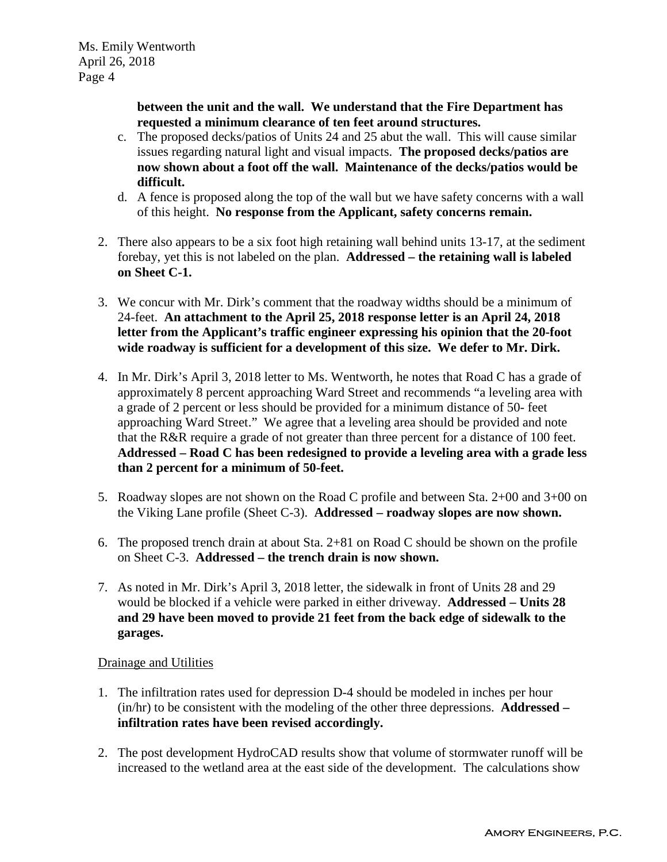#### **between the unit and the wall. We understand that the Fire Department has requested a minimum clearance of ten feet around structures.**

- c. The proposed decks/patios of Units 24 and 25 abut the wall. This will cause similar issues regarding natural light and visual impacts. **The proposed decks/patios are now shown about a foot off the wall. Maintenance of the decks/patios would be difficult.**
- d. A fence is proposed along the top of the wall but we have safety concerns with a wall of this height. **No response from the Applicant, safety concerns remain.**
- 2. There also appears to be a six foot high retaining wall behind units 13-17, at the sediment forebay, yet this is not labeled on the plan. **Addressed – the retaining wall is labeled on Sheet C-1.**
- 3. We concur with Mr. Dirk's comment that the roadway widths should be a minimum of 24-feet. **An attachment to the April 25, 2018 response letter is an April 24, 2018 letter from the Applicant's traffic engineer expressing his opinion that the 20-foot wide roadway is sufficient for a development of this size. We defer to Mr. Dirk.**
- 4. In Mr. Dirk's April 3, 2018 letter to Ms. Wentworth, he notes that Road C has a grade of approximately 8 percent approaching Ward Street and recommends "a leveling area with a grade of 2 percent or less should be provided for a minimum distance of 50- feet approaching Ward Street." We agree that a leveling area should be provided and note that the R&R require a grade of not greater than three percent for a distance of 100 feet. **Addressed – Road C has been redesigned to provide a leveling area with a grade less than 2 percent for a minimum of 50-feet.**
- 5. Roadway slopes are not shown on the Road C profile and between Sta. 2+00 and 3+00 on the Viking Lane profile (Sheet C-3). **Addressed – roadway slopes are now shown.**
- 6. The proposed trench drain at about Sta. 2+81 on Road C should be shown on the profile on Sheet C-3. **Addressed – the trench drain is now shown.**
- 7. As noted in Mr. Dirk's April 3, 2018 letter, the sidewalk in front of Units 28 and 29 would be blocked if a vehicle were parked in either driveway. **Addressed – Units 28 and 29 have been moved to provide 21 feet from the back edge of sidewalk to the garages.**

# Drainage and Utilities

- 1. The infiltration rates used for depression D-4 should be modeled in inches per hour (in/hr) to be consistent with the modeling of the other three depressions. **Addressed – infiltration rates have been revised accordingly.**
- 2. The post development HydroCAD results show that volume of stormwater runoff will be increased to the wetland area at the east side of the development. The calculations show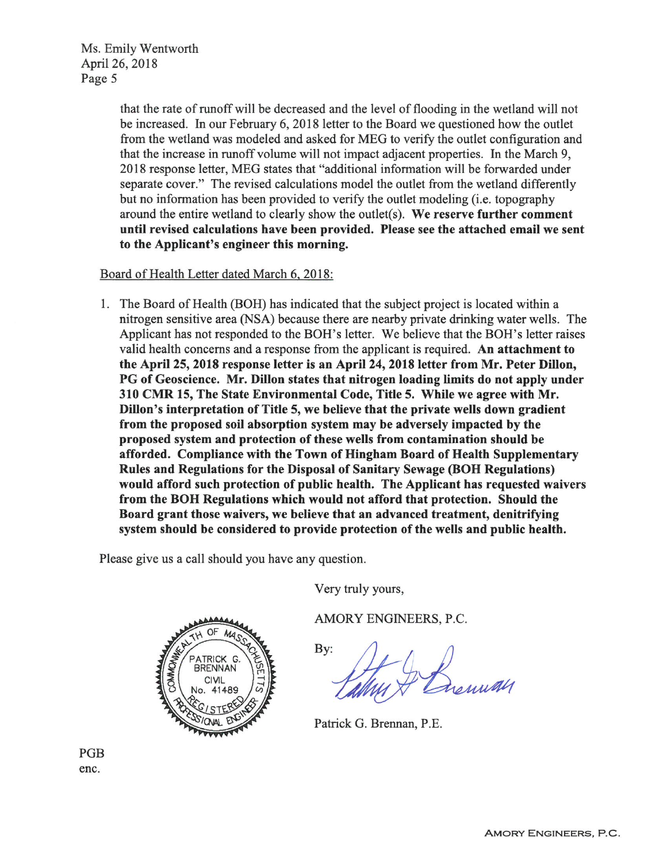Ms. Emily Wentworth April 26, 2018 Page 5

> that the rate of runoff will be decreased and the level of flooding in the wetland will not be increased. In our February 6, 2018 letter to the Board we questioned how the outlet from the wetland was modeled and asked for MEG to verify the outlet configuration and that the increase in runoff volume will not impact adjacent properties. In the March 9, 2018 response letter, MEG states that "additional information will be forwarded under separate cover." The revised calculations model the outlet from the wetland differently but no information has been provided to verify the outlet modeling *(i.e. topography* around the entire wetland to clearly show the outlet(s). We reserve further comment until revised calculations have been provided. Please see the attached email we sent to the Applicant's engineer this morning.

Board of Health Letter dated March 6, 2018:

1. The Board of Health (BOH) has indicated that the subject project is located within a nitrogen sensitive area (NSA) because there are nearby private drinking water wells. The Applicant has not responded to the BOH's letter. We believe that the BOH's letter raises valid health concerns and a response from the applicant is required. An attachment to the April 25, 2018 response letter is an April 24, 2018 letter from Mr. Peter Dillon, PG of Geoscience. Mr. Dillon states that nitrogen loading limits do not apply under 310 CMR 15, The State Environmental Code, Title 5. While we agree with Mr. Dillon's interpretation of Title 5, we believe that the private wells down gradient from the proposed soil absorption system may be adversely impacted by the proposed system and protection of these wells from contamination should be afforded. Compliance with the Town of Hingham Board of Health Supplementary Rules and Regulations for the Disposal of Sanitary Sewage (BOH Regulations) would afford such protection of public health. The Applicant has requested waivers from the BOH Regulations which would not afford that protection. Should the Board grant those waivers, we believe that an advanced treatment, denitrifying system should be considered to provide protection of the wells and public health.

Please give us a call should you have any question.

 $M9.56$ 

ATRICK G. **BRENNAN** CIVIL

Very truly yours.

AMORY ENGINEERS, P.C.

By:

Patrick G. Brennan, P.E.

**PGB** enc.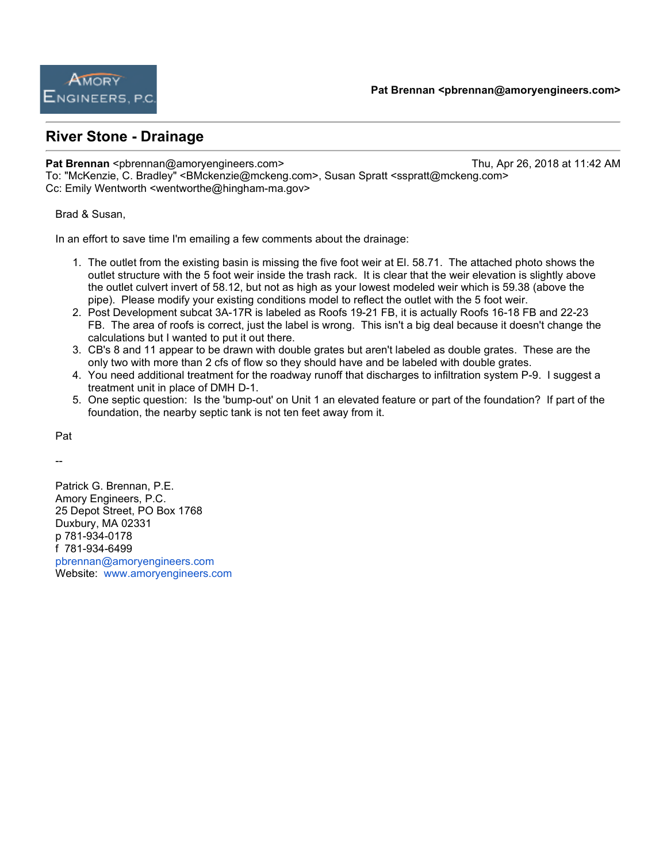# **River Stone - Drainage**

**Pat Brennan** <pbrennan@amoryengineers.com> Thu, Apr 26, 2018 at 11:42 AM To: "McKenzie, C. Bradley" <BMckenzie@mckeng.com>, Susan Spratt <sspratt@mckeng.com> Cc: Emily Wentworth <wentworthe@hingham-ma.gov>

Brad & Susan,

In an effort to save time I'm emailing a few comments about the drainage:

- 1. The outlet from the existing basin is missing the five foot weir at El. 58.71. The attached photo shows the outlet structure with the 5 foot weir inside the trash rack. It is clear that the weir elevation is slightly above the outlet culvert invert of 58.12, but not as high as your lowest modeled weir which is 59.38 (above the pipe). Please modify your existing conditions model to reflect the outlet with the 5 foot weir.
- 2. Post Development subcat 3A-17R is labeled as Roofs 19-21 FB, it is actually Roofs 16-18 FB and 22-23 FB. The area of roofs is correct, just the label is wrong. This isn't a big deal because it doesn't change the calculations but I wanted to put it out there.
- 3. CB's 8 and 11 appear to be drawn with double grates but aren't labeled as double grates. These are the only two with more than 2 cfs of flow so they should have and be labeled with double grates.
- 4. You need additional treatment for the roadway runoff that discharges to infiltration system P-9. I suggest a treatment unit in place of DMH D-1.
- 5. One septic question: Is the 'bump-out' on Unit 1 an elevated feature or part of the foundation? If part of the foundation, the nearby septic tank is not ten feet away from it.

Pat

--

Patrick G. Brennan, P.E. Amory Engineers, P.C. 25 Depot Street, PO Box 1768 Duxbury, MA 02331 p 781-934-0178 f 781-934-6499 pbrennan@amoryengineers.com

Website: www.amoryengineers.com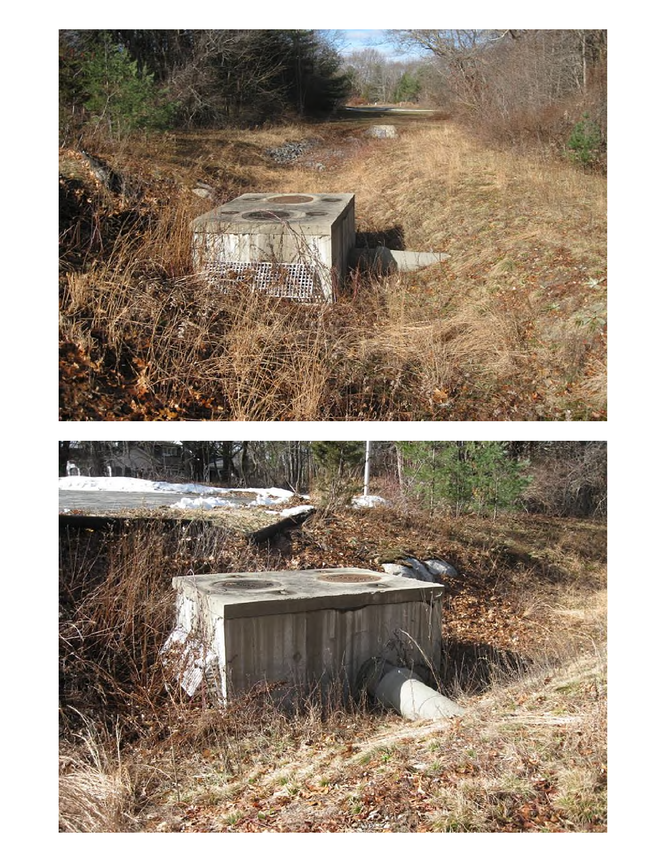